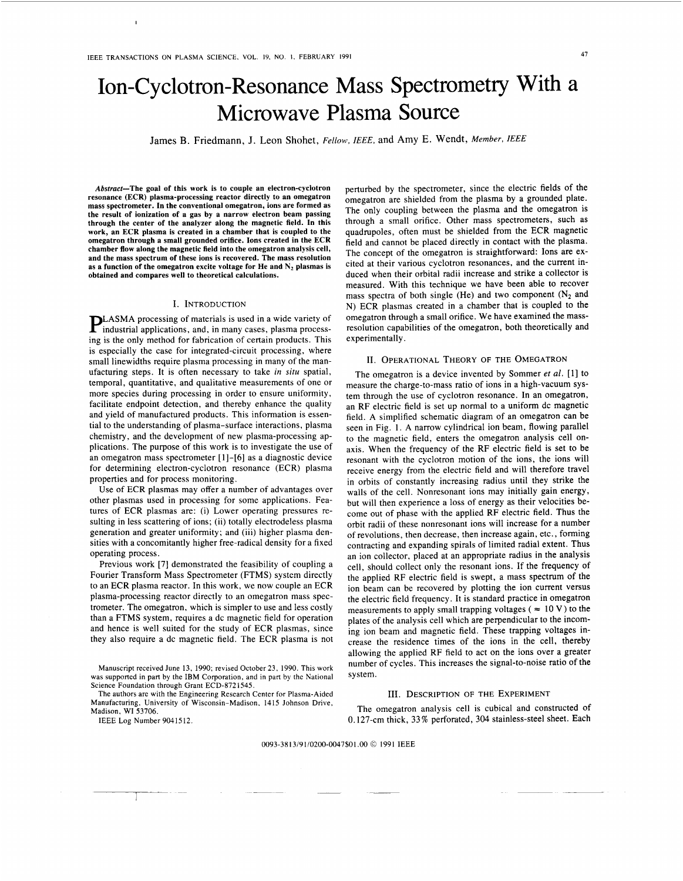# Ion-Cyclotron-Resonance Mass Spectrometry With a Microwave Plasma Source

James B. Friedmann, J. Leon Shohet, *Fellow, IEEE,* and Amy E. Wendt, *Member, IEEE*

**Abstract-The goal of this work is to couple an electron-cyclotron resonance (ECR) plasma-processing reactor directly to an omegatron mass spectrometer. In the conventional omegatron, ions are formed as the result of ionization of a gas by a narrow electron beam passing through the center of the analyzer along the magnetic field. In this work, an ECR plasma is created in a chamber that is coupled to the omegatron through a small grounded orifice. Ions created in the ECR chamber flow along the magnetic field into the omegatron analysis cell, and the mass spectrum of these ions is recovered. The mass resolution as a function of the omegatron excite voltage for He and** Nz **plasmas is obtained and compares well to theoretical calculations.**

## I. INTRODUCTION

**PLASMA** processing of materials is used in a wide variety of industrial applications, and, in many cases, plasma processing is the only method for fabrication of certain products. This is especially the case for integrated-circuit processing, where small linewidths require plasma processing in many of the manufacturing steps. It is often necessary to take *in situ* spatial, temporal, quantitative, and qualitative measurements of one or more species during processing in order to ensure uniformity, facilitate endpoint detection, and thereby enhance the quality and yield of manufactured products. This information is essential to the understanding of plasma-surface interactions, plasma chemistry, and the development of new plasma-processing applications. The purpose of this work is to investigate the use of an omegatron mass spectrometer [ **I]-[6]** as a diagnostic device for determining electron-cyclotron resonance (ECR) plasma properties and for process monitoring.

Use of ECR plasmas may offer a number of advantages over other plasmas used in processing for some applications. Features of ECR plasmas are: (i) Lower operating pressures resulting in less scattering of ions; (ii) totally electrodeless plasma generation and greater uniformity; and (iii) higher plasma densities with a concomitantly higher free-radical density for a fixed operating process.

Previous work [7] demonstrated the feasibility of coupling a Fourier Transform Mass Spectrometer (FTMS) system directly to an ECR plasma reactor. In this work, we now couple an ECR plasma-processing reactor directly to an omegatron mass spectrometer. The omegatron, which is simpler to use and less costly than a FTMS system, requires a dc magnetic field for operation and hence is well suited for the study of ECR plasmas, since they also require a dc magnetic field. The ECR plasma is not

The authors are with the Engineering Research Center for Plasma-Aided Manufacturing, University **of** Wisconsin-Madison, 1415 Johnson Drive, Madison, WI 53706.

IEEE Log Number 9041512.

perturbed by the spectrometer, since the electric fields of the omegatron are shielded from the plasma by a grounded plate. The only coupling between the plasma and the omegatron is through a small orifice. Other mass spectrometers, such as quadrupoles, often must be shielded from the ECR magnetic field and cannot be placed directly in contact with the plasma. The concept of the omegatron is straightforward: Ions are excited at their various cyclotron resonances, and the current induced when their orbital radii increase and strike a collector is measured. With this technique we have been able to recover mass spectra of both single (He) and two component ( $N_2$  and N) ECR plasmas created in a chamber that is coupled to the omegatron through a small orifice. We have examined the massresolution capabilities of the omegatron, both theoretically and experimentally.

# **II. OPERATIONAL THEORY OF THE OMEGATRON**

The omegatron is a device invented by Sommer et al. [1] to measure the charge-to-mass ratio of ions in a high-vacuum system through the use of cyclotron resonance. In an omegatron, an RF electric field is set up normal to a uniform dc magnetic field. **A** simplified schematic diagram of an omegatron can be seen in Fig. 1. A narrow cylindrical ion beam, flowing parallel to the magnetic field, enters the omegatron analysis cell onaxis. When the frequency of the RF electric field is set to be resonant with the cyclotron motion of the ions, the ions will receive energy from the electric field and will therefore travel in orbits of constantly increasing radius until they strike the walls of the cell. Nonresonant ions may initially gain energy, but will then experience a loss of energy as their velocities become out of phase with the applied RF electric field. Thus the orbit radii of these nonresonant ions will increase for a number of revolutions, then decrease, then increase again, etc., forming contracting and expanding spirals of limited radial extent. Thus an ion collector, placed at an appropriate radius in the analysis cell, should collect only the resonant ions. If the frequency of the applied RF electric field is swept, a mass spectrum of the ion beam can be recovered by plotting the ion current versus the electric field frequency. It is standard practice in omegatron measurements to apply small trapping voltages ( $\approx 10 \text{ V}$ ) to the plates of the analysis cell which are perpendicular to the incoming ion beam and magnetic field. These trapping voltages increase the residence times of the ions in the cell, thereby allowing the applied RF field to act on the ions over a greater number of cycles. This increases the signal-to-noise ratio of the system.

#### III. DESCRIPTION OF THE EXPERIMENT

The omegatron analysis cell is cubical and constructed of 0.127-cm thick, 33 % perforated, **304** stainless-steel sheet. Each

0093-3813/91/0200-0047\$01 .OO *0* <sup>1991</sup> IEEE

Manuscript received June 13, 1990; revised October 23, 1990. This work was supported in part by the IBM Corporation, and in part by the National Science Foundation through Grant ECD-872 1545,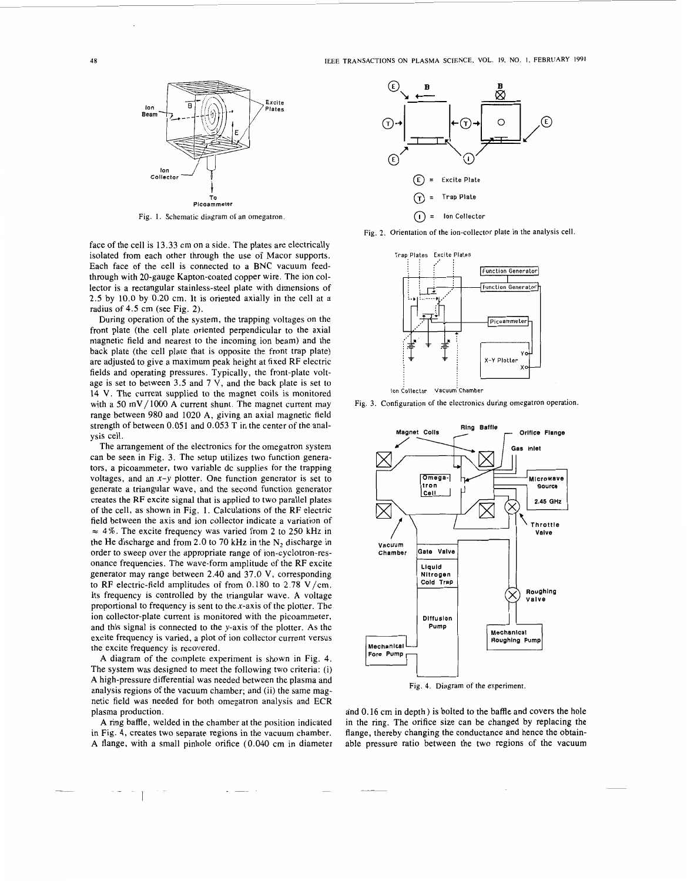

**Fig. <sup>1</sup> . Schematic diagram** of **an omegatron.**

face of the cell is 13.33 cm on a side. The plates are electrically isolated from each other through the use of Macor supports. Each face of the cell is connected to a BNC vacuum feedthrough with 20-gauge Kapton-coated copper wire. The ion collector is a rectangular stainless-steel plate with dimensions of 2.5 by 10.0 by 0.20 cm. It is oriented axially in the cell at a radius of 4.5 cm (see Fig. 2).

During operation of the system, the trapping voltages on the front plate (the cell plate oriented perpendicular to the axial magnetic field and nearest to the incoming ion beam) and the back plate (the cell plate that is opposite the front trap plate) are adjusted to give a maximum peak height at fixed RF electric fields and operating pressures. Typically, the front-plate voltage is set to between 3.5 and 7 V, and the back plate is set to 14 V. The current supplied to the magnet coils is monitored with a 50 mV/1000 **A** current shunt. The magnet current may range between 980 and 1020 **A,** giving an axial magnetic field strength of between 0.051 and 0.053 T in the center of the analysis cell.

The arrangement of the electronics for the omegatron system can be seen in Fig. 3. The setup utilizes two function generators, a picoammeter, two variable dc supplies for the trapping voltages, and an  $x-y$  plotter. One function generator is set to generate a triangular wave, and the second function generator creates the RF excite signal that is applied to two parallel plates of the cell, as shown in Fig. 1. Calculations of the RF electric field between the axis and ion collector indicate a variation of  $\approx$  4%. The excite frequency was varied from 2 to 250 kHz in the He discharge and from 2.0 to 70 kHz in the **N,** discharge in order to sweep over the appropriate range of ion-cyclotron-resonance frequencies. The wave-form amplitude of the RF excite generator may range between 2.40 and 37.0 V, corresponding to RF electric-field amplitudes of from 0.180 to 2.78 V/cm. Its frequency is controlled by the triangular wave. **A** voltage proportional to frequency is sent to the  $x$ -axis of the plotter. The ion collector-plate current is monitored with the picoammeter, and this signal is connected to the y-axis of the plotter. **As** the excite frequency is varied, a plot of ion collector current versus the excite frequency is recovered.

**A** diagram of the complete experiment is shown in Fig. **4.** The system was designed to meet the following two criteria: (i) **A** high-pressure differential was needed between the plasma and analysis regions of the vacuum chamber; and (ii) the same magnetic field was needed for both omegatron analysis and ECR plasma production.

**A** ring baffle, welded in the chamber at the position indicated in Fig. **4,**creates two separate regions in the vacuum chamber. **A** flange, with a small pinhole orifice (0.040 cm in diameter



Fig. 2. Orientation of the ion-collector plate in the analysis cell.



Fig. 3. Configuration of the electronics during omegatron operation.



and 0.16 cm in depth) is bolted to the baffle and covers the hole in the ring. The orifice size can be changed by replacing the flange, thereby changing the conductance and hence the obtainable pressure ratio between the two regions of the vacuum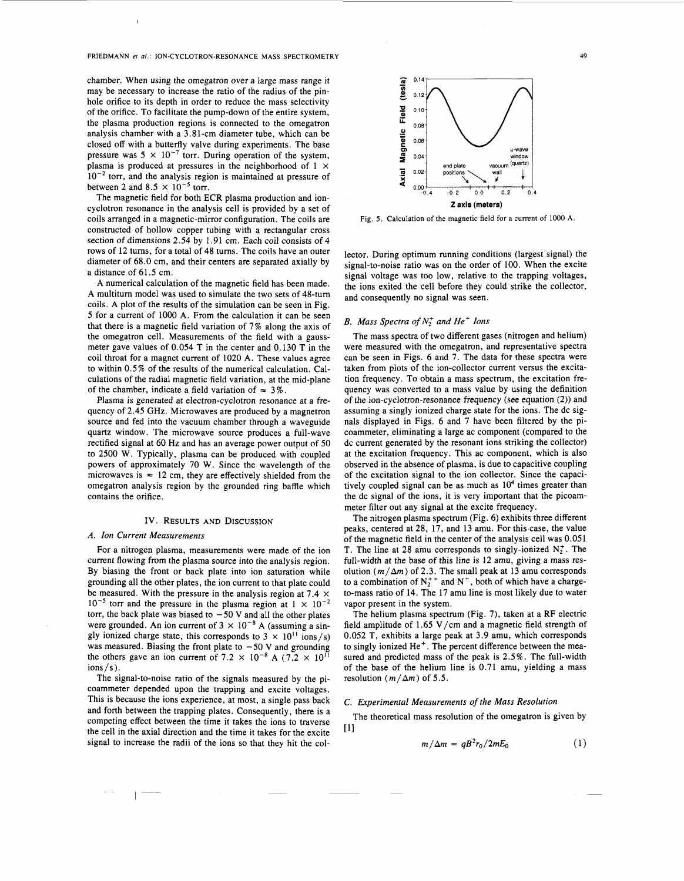chamber. When using the omegatron over a large mass range it may be necessary to increase the ratio of the radius of the pinhole orifice to its depth in order to reduce the mass selectivity of the orifice. To facilitate the pump-down of the entire system, the plasma production regions is connected to the omegatron analysis chamber with a 3.81-cm diameter tube, which can be closed off with a butterfly valve during experiments. The base pressure was  $5 \times 10^{-7}$  torr. During operation of the system, plasma is produced at pressures in the neighborhood of  $1 \times$  $10^{-2}$  torr, and the analysis region is maintained at pressure of between 2 and 8.5  $\times$  10<sup>-5</sup> torr.

The magnetic field for both ECR plasma production and ioncyclotron resonance in the analysis cell is provided by a set of coils arranged in a magnetic-mirror configuration. The coils are constructed of hollow copper tubing with a rectangular cross section of dimensions 2.54 by 1.91 cm. Each coil consists of 4 rows of 12 turns, for a total of 48 turns. The coils have an outer diameter of 68.0 cm, and their centers are separated axially by a distance of 61.5 cm.

A numerical calculation of the magnetic field has been made. A multitum model was used to simulate the two sets of 48-turn coils. **A** plot of the results of the simulation can be seen in Fig. 5 for a current of 1000 A. From the calculation it can be seen that there is a magnetic field variation of **7%**along the axis of the omegatron cell. Measurements of the field with a gaussmeter gave values of 0.054 T in the center and 0.130 T in the coil throat for a magnet current of 1020 A. These values agree to within 0.5 % of the results of the numerical calculation. Calculations of the radial magnetic field variation, at the mid-plane of the chamber, indicate a field variation of  $\approx 3\%$ .

Plasma is generated at electron-cyclotron resonance at a frequency of 2.45 GHz. Microwaves are produced by a magnetron source and fed into the vacuum chamber through a waveguide quartz window. The microwave source produces a full-wave rectified signal at 60 Hz and has an average power output of 50 to 2500 W. Typically, plasma can be produced with coupled powers of approximately 70 W. Since the wavelength of the microwaves is  $\approx$  12 cm, they are effectively shielded from the omegatron analysis region by the grounded ring baffle which contains the orifice.

## Iv. **RESULTSAND DISCUSSION**

#### *A. lon Current Measurements*

For a nitrogen plasma, measurements were made of the ion current flowing from the plasma source into the analysis region. By biasing the front or back plate into ion saturation while grounding all the other plates, the ion current to that plate could be measured. With the pressure in the analysis region at 7.4  $\times$  $10^{-5}$  torr and the pressure in the plasma region at  $1 \times 10^{-2}$ torr, the back plate was biased to  $-50$  V and all the other plates were grounded. An ion current of  $3 \times 10^{-8}$  A (assuming a singly ionized charge state, this corresponds to  $3 \times 10^{11}$  ions/s) was measured. Biasing the front plate to  $-50$  V and grounding the others gave an ion current of 7.2  $\times$  10<sup>-8</sup> A (7.2  $\times$  10<sup>1</sup>  $ions/s$ ).

The signal-to-noise ratio of the signals measured by the picoammeter depended upon the trapping and excite voltages. This is because the ions experience, at most, a single pass back and forth between the trapping plates. Consequently, there is a competing effect between the time it takes the ions to traverse the cell in the axial direction and the time it takes for the excite signal to increase the radii of the ions so that they hit the col-



**Fig. 5 . Calculation** of **the magnetic field** for **a current** of **1000 A.**

lector. During optimum running conditions (largest signal) the signal-to-noise ratio was on the order of 100. When the excite signal voltage was too low, relative to the trapping voltages, the ions exited the cell before they could strike the collector, and consequently no signal was seen.

## *B. Mass Spectra of*  $N_2^+$  *and*  $He^+$  *lons*

The mass spectra of two different gases (nitrogen and helium) were measured with the omegatron, and representative spectra can be seen in [Figs.](#page-3-0) 6 and 7. The data for these spectra were taken from plots of the ion-collector current versus the excitation frequency. To obtain a mass spectrum, the excitation frequency was converted to a mass value by using the definition of the ion-cyclotron-resonance frequency (see equation (2)) and assuming a singly ionized charge state for the ions. The dc signals displayed in [Figs.](#page-3-0) 6 and 7 have been filtered by the picoammeter, eliminating a large ac component (compared to the dc current generated by the resonant ions striking the collector) at the excitation frequency. This ac component, which is also observed in the absence of plasma, is due to capacitive coupling of the excitation signal to the ion collector. Since the capacitively coupled signal can be as much as  $10<sup>4</sup>$  times greater than the dc signal of the ions, it **is** very important that the picoammeter filter out any signal at the excite frequency.

The nitrogen plasma spectrum (Fig. 6) exhibits three different peaks, centered at 28, 17, and 13 amu. For this case, the value of the magnetic field in the center of the analysis cell was 0.051 T. The line at 28 amu corresponds to singly-ionized  $N_2^+$ . The full-width at the base of this line is 12 amu, giving a mass resolution  $(m/\Delta m)$  of 2.3. The small peak at 13 amu corresponds to a combination of  $N_2^+$  and  $N^+$ , both of which have a chargeto-mass ratio of 14. The 17 amu line is most likely due to water vapor present in the system.

The helium plasma spectrum (Fig. 7), taken at a RF electric field amplitude of 1.65 V/cm and a magnetic field strength of 0.052 T, exhibits a large peak at 3.9 amu, which corresponds to singly ionized He<sup>+</sup>. The percent difference between the measured and predicted mass of the peak is 2.5%. The full-width of the base of the helium line is 0.71 amu, yielding a mass resolution  $(m/\Delta m)$  of 5.5.

## *C. Experimental Measurements of the Mass Resolution*

111 The theoretical mass resolution of the omegatron is given by

$$
m/\Delta m = qB^2r_0/2mE_0 \qquad (1)
$$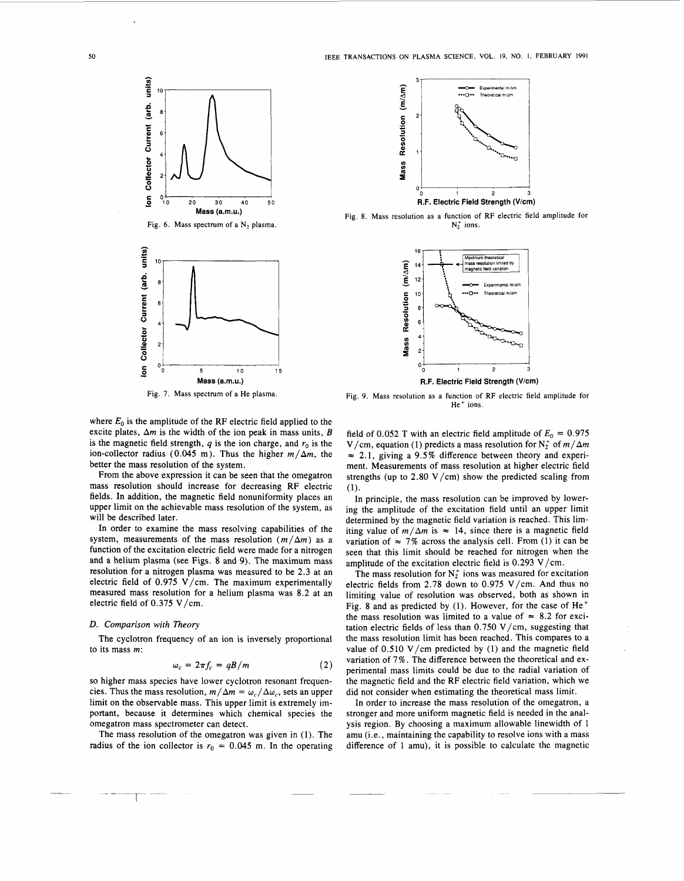<span id="page-3-0"></span>

**Fig. 7 . Mass spectrum** of **a He plasma.**

where  $E_0$  is the amplitude of the RF electric field applied to the excite plates,  $\Delta m$  is the width of the ion peak in mass units, *B* is the magnetic field strength,  $q$  is the ion charge, and  $r_0$  is the ion-collector radius (0.045 m). Thus the higher  $m/\Delta m$ , the better the mass resolution of the system.

From the above expression it can be seen that the omegatron mass resolution should increase for decreasing RF electric fields. In addition, the magnetic field nonuniformity places an upper limit on the achievable mass resolution of the system, as will be described later.

In order to examine the mass resolving capabilities of the system, measurements of the mass resolution  $(m/\Delta m)$  as a function of the excitation electric field were made for a nitrogen and a helium plasma (see Figs. 8 and 9). The maximum mass resolution for a nitrogen plasma was measured to be 2.3 at an electric field of  $0.975$  V/cm. The maximum experimentally measured mass resolution for a helium plasma was 8.2 at an electric field of 0.375 V/cm.

#### *D. Comparison with Theory*

to its mass *m:* The cyclotron frequency of an ion is inversely proportional

$$
\omega_c = 2\pi f_c = qB/m \tag{2}
$$

so higher mass species have lower cyclotron resonant frequencies. Thus the mass resolution,  $m/\Delta m = \omega_c/\Delta \omega_c$ , sets an upper limit on the observable mass. This upper limit is extremely important, because it determines which chemical species the omegatron mass spectrometer can detect.

The mass resolution of the omegatron was given in (1). The radius of the ion collector is  $r_0 = 0.045$  m. In the operating



**Fig.** 8. **Mass resolution as a function** of **RF electric field amplitude for N: ions.**



**Fig. 9. Mass resolution as a function of RF electric field amplitude** for He<sup>+</sup> ions.

field of 0.052 T with an electric field amplitude of  $E_0 = 0.975$ V/cm, equation (1) predicts a mass resolution for  $N_2^+$  of  $m/\Delta m$  $\approx$  2.1, giving a 9.5% difference between theory and experiment. Measurements of mass resolution at higher electric field strengths (up to  $2.80 \text{ V/cm}$ ) show the predicted scaling from (1).

In principle, the mass resolution can be improved by lowering the amplitude of the excitation field until an upper limit determined by the magnetic field variation is reached. This limiting value of  $m/\Delta m$  is  $\approx$  14, since there is a magnetic field variation of  $\approx$  7% across the analysis cell. From (1) it can be seen that this limit should be reached for nitrogen when the amplitude of the excitation electric field is  $0.293 \text{ V/cm}$ .

The mass resolution for  $N_2^+$  ions was measured for excitation electric fields from 2.78 down to 0.975 V/cm. And thus no limiting value of resolution was observed, both as shown in Fig. 8 and as predicted by (1). However, for the case of  $He^+$ the mass resolution was limited to a value of  $\approx 8.2$  for excitation electric fields of less than  $0.750 \text{ V/cm}$ , suggesting that the mass resolution limit has been reached. This compares to a value of 0.510 V/cm predicted by (1) and the magnetic field variation of 7% . The difference between the theoretical and experimental mass limits could be due to the radial variation of the magnetic field and the RF electric field variation, which we did not consider when estimating the theoretical mass limit.

In order to increase the mass resolution of the omegatron, a stronger and more uniform magnetic field is needed in the analysis region. By choosing a maximum allowable linewidth of 1 amu (i.e., maintaining the capability to resolve ions with a mass difference of 1 amu), it is possible to calculate the magnetic